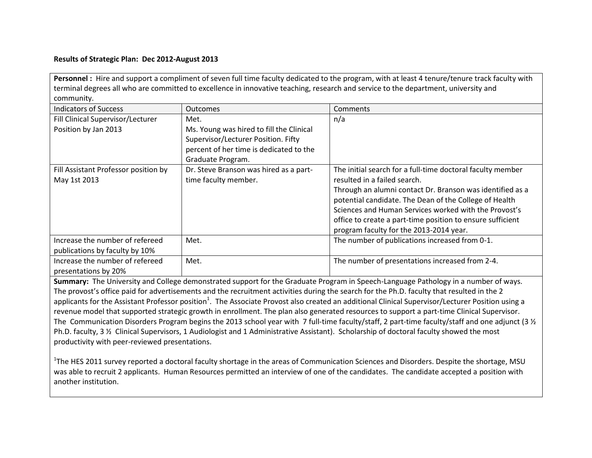## **Results of Strategic Plan: Dec 2012-August 2013**

Personnel : Hire and support a compliment of seven full time faculty dedicated to the program, with at least 4 tenure/tenure track faculty with terminal degrees all who are committed to excellence in innovative teaching, research and service to the department, university and community.

| <b>Indicators of Success</b>         | <b>Outcomes</b>                          | Comments                                                   |
|--------------------------------------|------------------------------------------|------------------------------------------------------------|
| Fill Clinical Supervisor/Lecturer    | Met.                                     | n/a                                                        |
| Position by Jan 2013                 | Ms. Young was hired to fill the Clinical |                                                            |
|                                      | Supervisor/Lecturer Position. Fifty      |                                                            |
|                                      | percent of her time is dedicated to the  |                                                            |
|                                      | Graduate Program.                        |                                                            |
| Fill Assistant Professor position by | Dr. Steve Branson was hired as a part-   | The initial search for a full-time doctoral faculty member |
| May 1st 2013                         | time faculty member.                     | resulted in a failed search.                               |
|                                      |                                          | Through an alumni contact Dr. Branson was identified as a  |
|                                      |                                          | potential candidate. The Dean of the College of Health     |
|                                      |                                          | Sciences and Human Services worked with the Provost's      |
|                                      |                                          | office to create a part-time position to ensure sufficient |
|                                      |                                          | program faculty for the 2013-2014 year.                    |
| Increase the number of refereed      | Met.                                     | The number of publications increased from 0-1.             |
| publications by faculty by 10%       |                                          |                                                            |
| Increase the number of refereed      | Met.                                     | The number of presentations increased from 2-4.            |
| presentations by 20%                 |                                          |                                                            |

**Summary:** The University and College demonstrated support for the Graduate Program in Speech-Language Pathology in a number of ways. The provost's office paid for advertisements and the recruitment activities during the search for the Ph.D. faculty that resulted in the 2 applicants for the Assistant Professor position<sup>1</sup>. The Associate Provost also created an additional Clinical Supervisor/Lecturer Position using a revenue model that supported strategic growth in enrollment. The plan also generated resources to support a part-time Clinical Supervisor. The Communication Disorders Program begins the 2013 school year with 7 full-time faculty/staff, 2 part-time faculty/staff and one adjunct (3 % Ph.D. faculty, 3 ½ Clinical Supervisors, 1 Audiologist and 1 Administrative Assistant). Scholarship of doctoral faculty showed the most productivity with peer-reviewed presentations.

<sup>1</sup>The HES 2011 survey reported a doctoral faculty shortage in the areas of Communication Sciences and Disorders. Despite the shortage, MSU was able to recruit 2 applicants. Human Resources permitted an interview of one of the candidates. The candidate accepted a position with another institution.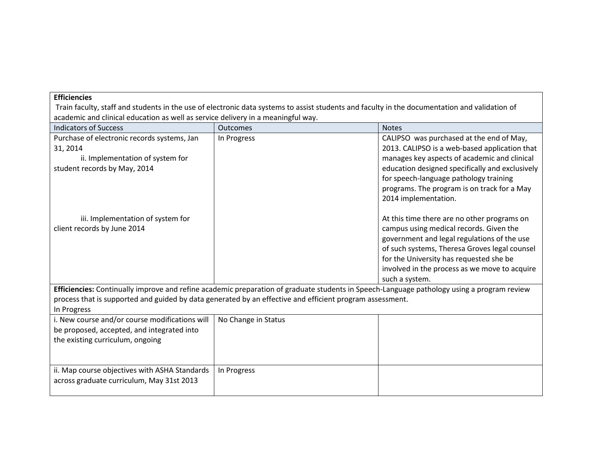## **Efficiencies**

Train faculty, staff and students in the use of electronic data systems to assist students and faculty in the documentation and validation of academic and clinical education as well as service delivery in a meaningful way.

| <b>Indicators of Success</b>                                                                                                                                                                                                                                          | <b>Outcomes</b>     | <b>Notes</b>                                                                                                                                                                                                                                                                                                  |  |  |
|-----------------------------------------------------------------------------------------------------------------------------------------------------------------------------------------------------------------------------------------------------------------------|---------------------|---------------------------------------------------------------------------------------------------------------------------------------------------------------------------------------------------------------------------------------------------------------------------------------------------------------|--|--|
| Purchase of electronic records systems, Jan<br>31, 2014<br>ii. Implementation of system for<br>student records by May, 2014                                                                                                                                           | In Progress         | CALIPSO was purchased at the end of May,<br>2013. CALIPSO is a web-based application that<br>manages key aspects of academic and clinical<br>education designed specifically and exclusively<br>for speech-language pathology training<br>programs. The program is on track for a May<br>2014 implementation. |  |  |
| iii. Implementation of system for<br>client records by June 2014                                                                                                                                                                                                      |                     | At this time there are no other programs on<br>campus using medical records. Given the<br>government and legal regulations of the use<br>of such systems, Theresa Groves legal counsel<br>for the University has requested she be<br>involved in the process as we move to acquire<br>such a system.          |  |  |
| Efficiencies: Continually improve and refine academic preparation of graduate students in Speech-Language pathology using a program review<br>process that is supported and guided by data generated by an effective and efficient program assessment.<br>In Progress |                     |                                                                                                                                                                                                                                                                                                               |  |  |
| i. New course and/or course modifications will<br>be proposed, accepted, and integrated into<br>the existing curriculum, ongoing                                                                                                                                      | No Change in Status |                                                                                                                                                                                                                                                                                                               |  |  |
| ii. Map course objectives with ASHA Standards<br>across graduate curriculum, May 31st 2013                                                                                                                                                                            | In Progress         |                                                                                                                                                                                                                                                                                                               |  |  |